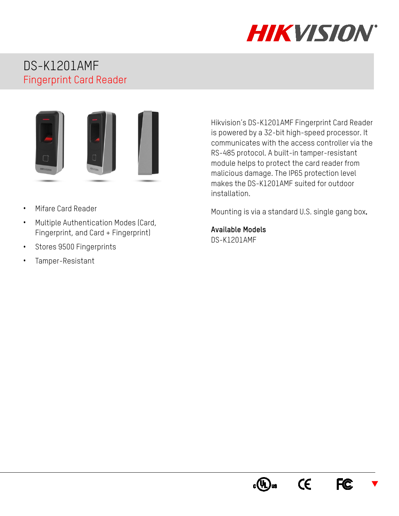

## DS-K1201AMF Fingerprint Card Reader



- Mifare Card Reader
- Multiple Authentication Modes (Card, Fingerprint, and Card + Fingerprint)
- Stores 9500 Fingerprints
- Tamper-Resistant

Hikvision's DS-K1201AMF Fingerprint Card Reader is powered by a 32-bit high-speed processor. It communicates with the access controller via the RS-485 protocol. A built-in tamper-resistant module helps to protect the card reader from malicious damage. The IP65 protection level makes the DS-K1201AMF suited for outdoor installation.

Mounting is via a standard U.S. single gang box.

**Available Models** DS-K1201AMF

> $\epsilon$ **FC**  $\blacktriangledown$